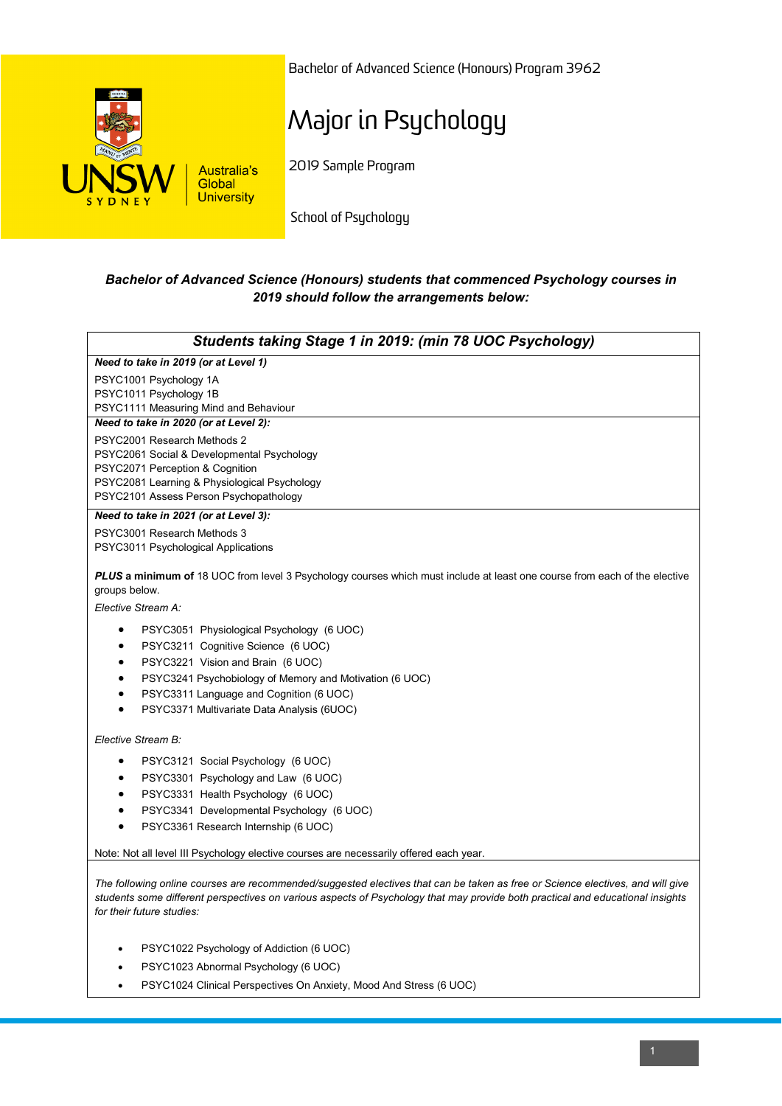

Bachelor of Advanced Science (Honours) Program 3962

## Major in Psychology

2019 Sample Program

School of Psychology

## *Bachelor of Advanced Science (Honours) students that commenced Psychology courses in 2019 should follow the arrangements below:*

| Students taking Stage 1 in 2019: (min 78 UOC Psychology)                                                                                                                                                                                                                                                                          |
|-----------------------------------------------------------------------------------------------------------------------------------------------------------------------------------------------------------------------------------------------------------------------------------------------------------------------------------|
| Need to take in 2019 (or at Level 1)                                                                                                                                                                                                                                                                                              |
| PSYC1001 Psychology 1A<br>PSYC1011 Psychology 1B<br>PSYC1111 Measuring Mind and Behaviour                                                                                                                                                                                                                                         |
| Need to take in 2020 (or at Level 2):                                                                                                                                                                                                                                                                                             |
| PSYC2001 Research Methods 2<br>PSYC2061 Social & Developmental Psychology<br>PSYC2071 Perception & Cognition<br>PSYC2081 Learning & Physiological Psychology<br>PSYC2101 Assess Person Psychopathology                                                                                                                            |
| Need to take in 2021 (or at Level 3):                                                                                                                                                                                                                                                                                             |
| PSYC3001 Research Methods 3<br>PSYC3011 Psychological Applications                                                                                                                                                                                                                                                                |
| PLUS a minimum of 18 UOC from level 3 Psychology courses which must include at least one course from each of the elective<br>groups below.                                                                                                                                                                                        |
| Elective Stream A:                                                                                                                                                                                                                                                                                                                |
| PSYC3051 Physiological Psychology (6 UOC)<br>$\bullet$<br>PSYC3211 Cognitive Science (6 UOC)<br>٠<br>PSYC3221 Vision and Brain (6 UOC)<br>$\bullet$<br>PSYC3241 Psychobiology of Memory and Motivation (6 UOC)<br>$\bullet$<br>PSYC3311 Language and Cognition (6 UOC)<br>$\bullet$<br>PSYC3371 Multivariate Data Analysis (6UOC) |
| Elective Stream B:                                                                                                                                                                                                                                                                                                                |
| PSYC3121 Social Psychology (6 UOC)<br>٠<br>PSYC3301 Psychology and Law (6 UOC)<br>$\bullet$<br>PSYC3331 Health Psychology (6 UOC)<br>PSYC3341 Developmental Psychology (6 UOC)<br>PSYC3361 Research Internship (6 UOC)                                                                                                            |
| Note: Not all level III Psychology elective courses are necessarily offered each year.                                                                                                                                                                                                                                            |
| The following online courses are recommended/suggested electives that can be taken as free or Science electives, and will give<br>students some different perspectives on various aspects of Psychology that may provide both practical and educational insights<br>for their future studies:                                     |

- PSYC1022 Psychology of Addiction (6 UOC)
- PSYC1023 Abnormal Psychology (6 UOC)
- PSYC1024 Clinical Perspectives On Anxiety, Mood And Stress (6 UOC)